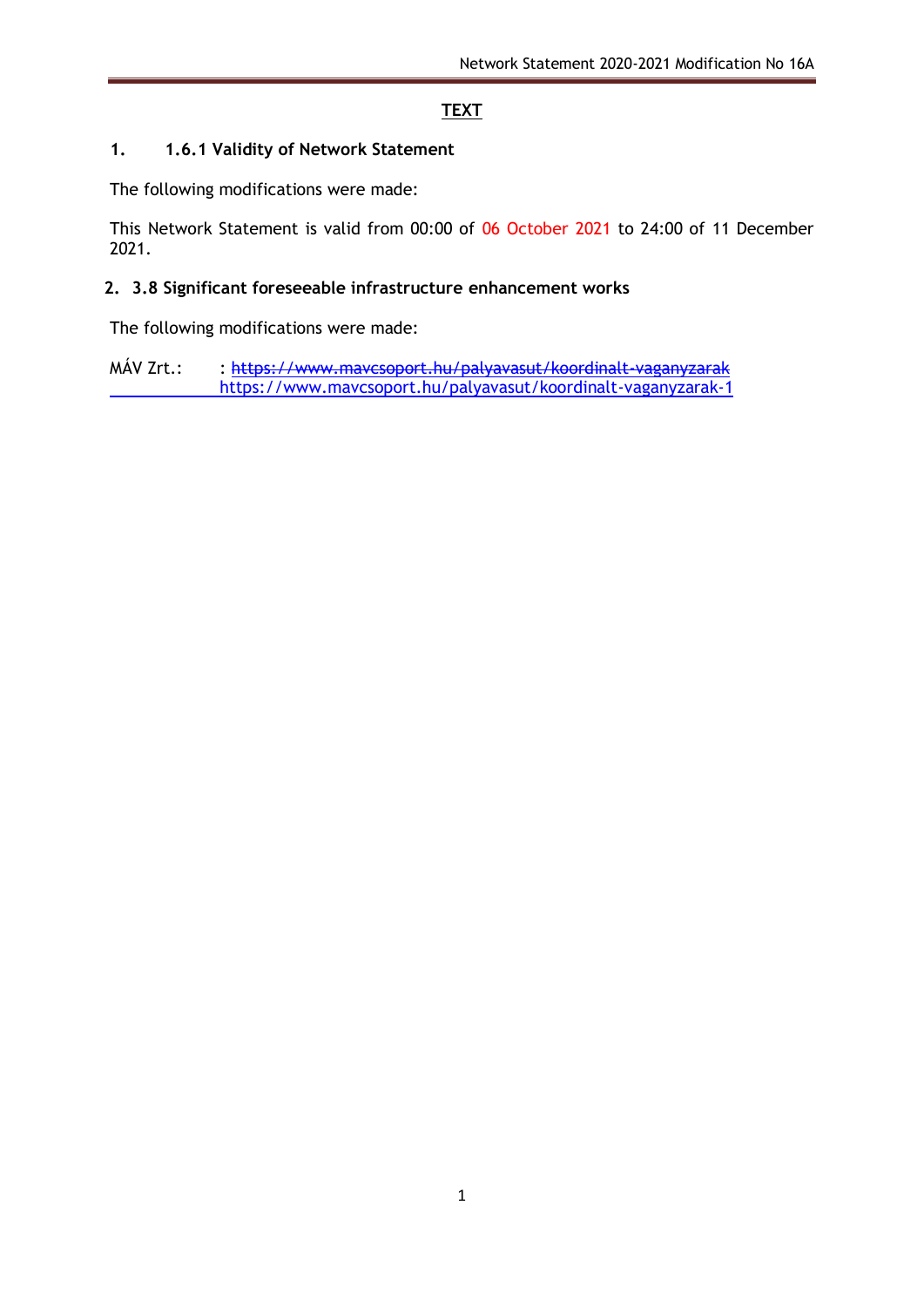# **TEXT**

### **1. 1.6.1 Validity of Network Statement**

The following modifications were made:

This Network Statement is valid from 00:00 of 06 October 2021 to 24:00 of 11 December 2021.

### **2. 3.8 Significant foreseeable infrastructure enhancement works**

The following modifications were made:

MÁV Zrt.: : https://www.maycsoport.hu/palyavasut/koordinalt-vaganyzarak <https://www.mavcsoport.hu/palyavasut/koordinalt-vaganyzarak-1>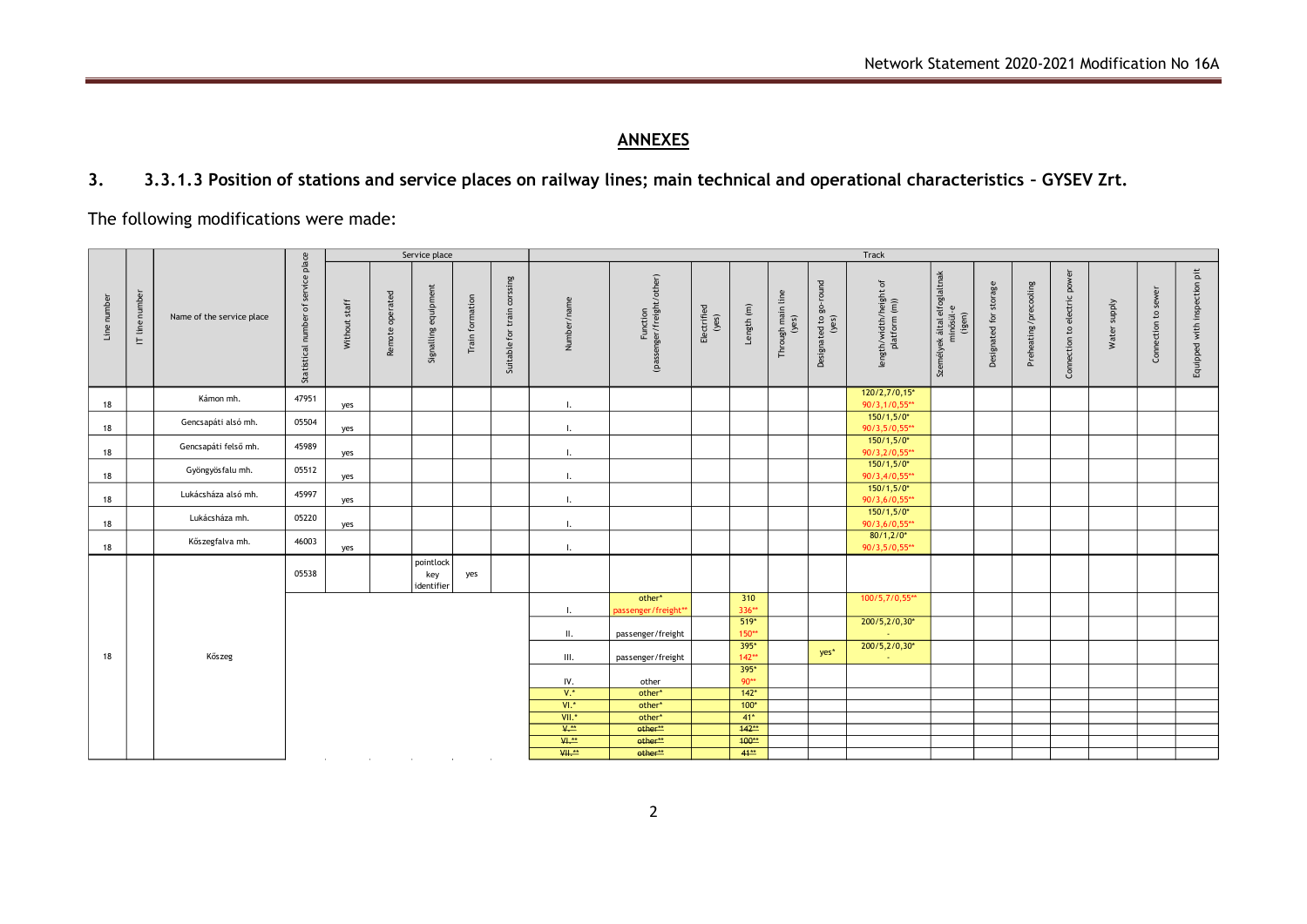# **ANNEXES**

**3. 3.3.1.3 Position of stations and service places on railway lines; main technical and operational characteristics – GYSEV Zrt.**

The following modifications were made:

|             |                | Name of the service place | of service place<br>Statistical number | Service place |                 |                                |                 | Track                       |                  |                                       |                      |                   |                            |                                 |                                         |                                                     |                           |                       |                                    |              |                     |                              |
|-------------|----------------|---------------------------|----------------------------------------|---------------|-----------------|--------------------------------|-----------------|-----------------------------|------------------|---------------------------------------|----------------------|-------------------|----------------------------|---------------------------------|-----------------------------------------|-----------------------------------------------------|---------------------------|-----------------------|------------------------------------|--------------|---------------------|------------------------------|
| Line number | IT line number |                           |                                        | Without staff | Remote operated | Signalling equipment           | Train formation | Suitable for train corssing | Number/name      | Function<br>(passenger/freight/other) | Electrified<br>(yes) | Length $(m)$      | Through main line<br>(yes) | Designated to go-round<br>(yes) | length/width/height of<br>platform (m)) | Személyek által elfoglaltnak<br>minősül-e<br>(igen) | storage<br>Designated for | Preheating/precooling | power<br>to electric<br>Connection | Water supply | Connection to sewer | Equipped with inspection pit |
| 18          |                | Kámon mh.                 | 47951                                  | yes           |                 |                                |                 |                             | Ι.               |                                       |                      |                   |                            |                                 | 120/2,7/0,15*<br>90/3,1/0,55**          |                                                     |                           |                       |                                    |              |                     |                              |
| 18          |                | Gencsapáti alsó mh.       | 05504                                  | yes           |                 |                                |                 |                             | Η.               |                                       |                      |                   |                            |                                 | $150/1,5/0*$<br>90/3,5/0,55**           |                                                     |                           |                       |                                    |              |                     |                              |
| 18          |                | Gencsapáti felső mh.      | 45989                                  | yes           |                 |                                |                 |                             | Η.               |                                       |                      |                   |                            |                                 | $150/1,5/0*$<br>90/3,2/0,55**           |                                                     |                           |                       |                                    |              |                     |                              |
| 18          |                | Gyöngyösfalu mh.          | 05512                                  | yes           |                 |                                |                 |                             | Ι.               |                                       |                      |                   |                            |                                 | $150/1,5/0*$<br>90/3,4/0,55**           |                                                     |                           |                       |                                    |              |                     |                              |
| 18          |                | Lukácsháza alsó mh.       | 45997                                  | yes           |                 |                                |                 |                             | Ι.               |                                       |                      |                   |                            |                                 | $150/1,5/0*$<br>90/3,6/0,55**           |                                                     |                           |                       |                                    |              |                     |                              |
| 18          |                | Lukácsháza mh.            | 05220                                  | yes           |                 |                                |                 |                             | Ι.               |                                       |                      |                   |                            |                                 | $150/1,5/0*$<br>90/3,6/0,55**           |                                                     |                           |                       |                                    |              |                     |                              |
| 18          |                | Kőszegfalva mh.           | 46003                                  | yes           |                 |                                |                 |                             | $\mathbf{I}$ .   |                                       |                      |                   |                            |                                 | $80/1,2/0*$<br>90/3,5/0,55**            |                                                     |                           |                       |                                    |              |                     |                              |
| 18          |                | Kőszeg                    | 05538                                  |               |                 | pointlock<br>key<br>identifier | yes             |                             |                  |                                       |                      |                   |                            |                                 |                                         |                                                     |                           |                       |                                    |              |                     |                              |
|             |                |                           |                                        |               |                 |                                |                 |                             | Ι.               | other*<br>passenger/freight**         |                      | 310<br>336**      |                            |                                 | 100/5,7/0,55**                          |                                                     |                           |                       |                                    |              |                     |                              |
|             |                |                           |                                        |               |                 |                                |                 |                             | $\mathbf{II}$ .  | passenger/freight                     |                      | $519*$<br>150**   |                            |                                 | 200/5,2/0,30*<br>14                     |                                                     |                           |                       |                                    |              |                     |                              |
|             |                |                           |                                        |               |                 |                                |                 |                             | III.             | passenger/freight                     |                      | $395*$<br>$142**$ |                            | yes*                            | 200/5,2/0,30*<br>×.                     |                                                     |                           |                       |                                    |              |                     |                              |
|             |                |                           |                                        |               |                 |                                |                 |                             | IV.              | other                                 |                      | $395*$<br>$90**$  |                            |                                 |                                         |                                                     |                           |                       |                                    |              |                     |                              |
|             |                |                           |                                        |               |                 |                                |                 |                             | $V^*$            | other*                                |                      | $142*$            |                            |                                 |                                         |                                                     |                           |                       |                                    |              |                     |                              |
|             |                |                           |                                        |               |                 |                                |                 |                             | $V!^*$           | other*                                |                      | $100*$            |                            |                                 |                                         |                                                     |                           |                       |                                    |              |                     |                              |
|             |                |                           |                                        |               |                 |                                |                 |                             | $VII.*$          | other*                                |                      | $41*$             |                            |                                 |                                         |                                                     |                           |                       |                                    |              |                     |                              |
|             |                |                           |                                        |               |                 |                                |                 |                             | $V^{\star\star}$ | other**                               |                      | $142**$           |                            |                                 |                                         |                                                     |                           |                       |                                    |              |                     |                              |
|             |                |                           |                                        |               |                 |                                |                 |                             | $W^{\star\star}$ | other**                               |                      | $400**$           |                            |                                 |                                         |                                                     |                           |                       |                                    |              |                     |                              |
|             |                |                           |                                        |               |                 |                                |                 |                             | <b>VII.**</b>    | other**                               |                      | $41**$            |                            |                                 |                                         |                                                     |                           |                       |                                    |              |                     |                              |